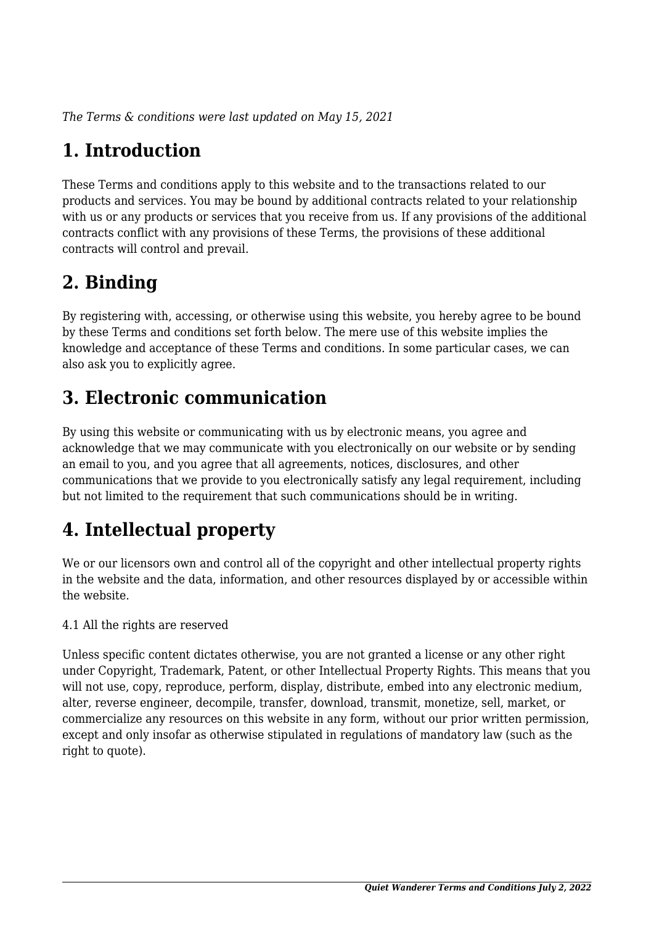*The Terms & conditions were last updated on May 15, 2021*

# **1. Introduction**

These Terms and conditions apply to this website and to the transactions related to our products and services. You may be bound by additional contracts related to your relationship with us or any products or services that you receive from us. If any provisions of the additional contracts conflict with any provisions of these Terms, the provisions of these additional contracts will control and prevail.

# **2. Binding**

By registering with, accessing, or otherwise using this website, you hereby agree to be bound by these Terms and conditions set forth below. The mere use of this website implies the knowledge and acceptance of these Terms and conditions. In some particular cases, we can also ask you to explicitly agree.

# **3. Electronic communication**

By using this website or communicating with us by electronic means, you agree and acknowledge that we may communicate with you electronically on our website or by sending an email to you, and you agree that all agreements, notices, disclosures, and other communications that we provide to you electronically satisfy any legal requirement, including but not limited to the requirement that such communications should be in writing.

# **4. Intellectual property**

We or our licensors own and control all of the copyright and other intellectual property rights in the website and the data, information, and other resources displayed by or accessible within the website.

4.1 All the rights are reserved

Unless specific content dictates otherwise, you are not granted a license or any other right under Copyright, Trademark, Patent, or other Intellectual Property Rights. This means that you will not use, copy, reproduce, perform, display, distribute, embed into any electronic medium, alter, reverse engineer, decompile, transfer, download, transmit, monetize, sell, market, or commercialize any resources on this website in any form, without our prior written permission, except and only insofar as otherwise stipulated in regulations of mandatory law (such as the right to quote).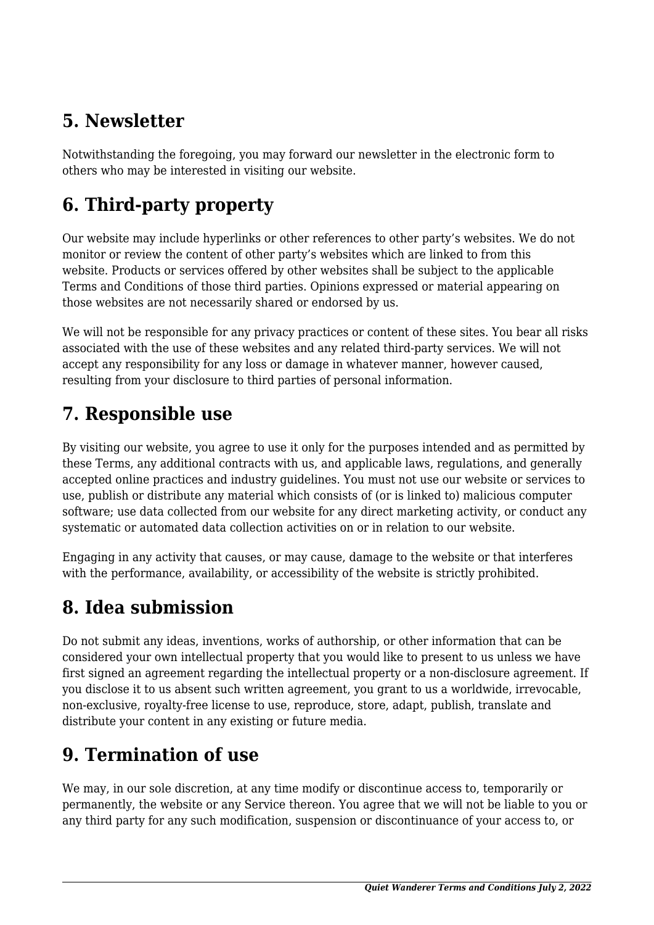# **5. Newsletter**

Notwithstanding the foregoing, you may forward our newsletter in the electronic form to others who may be interested in visiting our website.

# **6. Third-party property**

Our website may include hyperlinks or other references to other party's websites. We do not monitor or review the content of other party's websites which are linked to from this website. Products or services offered by other websites shall be subject to the applicable Terms and Conditions of those third parties. Opinions expressed or material appearing on those websites are not necessarily shared or endorsed by us.

We will not be responsible for any privacy practices or content of these sites. You bear all risks associated with the use of these websites and any related third-party services. We will not accept any responsibility for any loss or damage in whatever manner, however caused, resulting from your disclosure to third parties of personal information.

#### **7. Responsible use**

By visiting our website, you agree to use it only for the purposes intended and as permitted by these Terms, any additional contracts with us, and applicable laws, regulations, and generally accepted online practices and industry guidelines. You must not use our website or services to use, publish or distribute any material which consists of (or is linked to) malicious computer software; use data collected from our website for any direct marketing activity, or conduct any systematic or automated data collection activities on or in relation to our website.

Engaging in any activity that causes, or may cause, damage to the website or that interferes with the performance, availability, or accessibility of the website is strictly prohibited.

# **8. Idea submission**

Do not submit any ideas, inventions, works of authorship, or other information that can be considered your own intellectual property that you would like to present to us unless we have first signed an agreement regarding the intellectual property or a non-disclosure agreement. If you disclose it to us absent such written agreement, you grant to us a worldwide, irrevocable, non-exclusive, royalty-free license to use, reproduce, store, adapt, publish, translate and distribute your content in any existing or future media.

# **9. Termination of use**

We may, in our sole discretion, at any time modify or discontinue access to, temporarily or permanently, the website or any Service thereon. You agree that we will not be liable to you or any third party for any such modification, suspension or discontinuance of your access to, or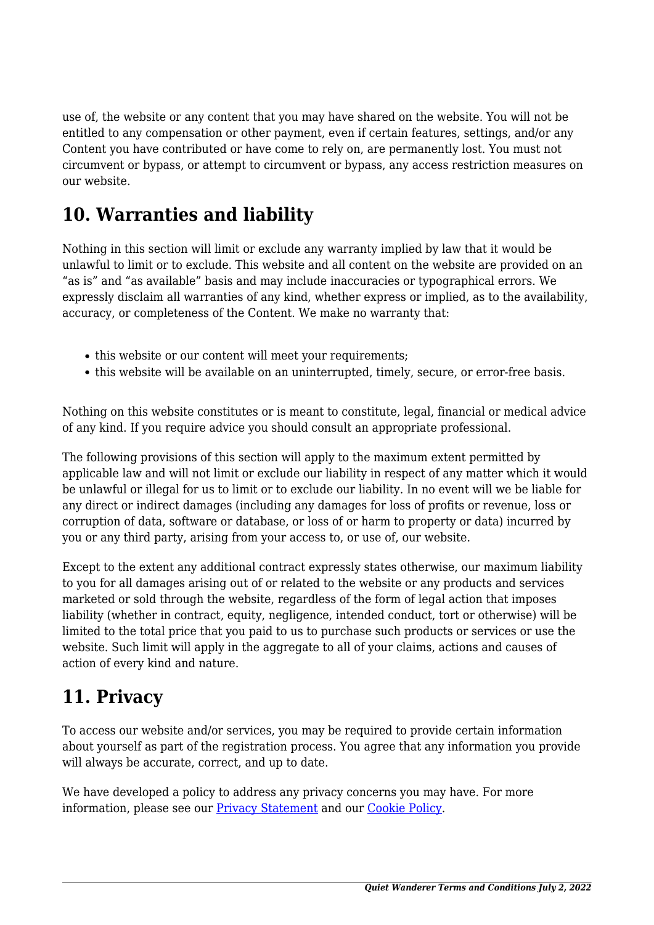use of, the website or any content that you may have shared on the website. You will not be entitled to any compensation or other payment, even if certain features, settings, and/or any Content you have contributed or have come to rely on, are permanently lost. You must not circumvent or bypass, or attempt to circumvent or bypass, any access restriction measures on our website.

### **10. Warranties and liability**

Nothing in this section will limit or exclude any warranty implied by law that it would be unlawful to limit or to exclude. This website and all content on the website are provided on an "as is" and "as available" basis and may include inaccuracies or typographical errors. We expressly disclaim all warranties of any kind, whether express or implied, as to the availability, accuracy, or completeness of the Content. We make no warranty that:

- this website or our content will meet your requirements;
- this website will be available on an uninterrupted, timely, secure, or error-free basis.

Nothing on this website constitutes or is meant to constitute, legal, financial or medical advice of any kind. If you require advice you should consult an appropriate professional.

The following provisions of this section will apply to the maximum extent permitted by applicable law and will not limit or exclude our liability in respect of any matter which it would be unlawful or illegal for us to limit or to exclude our liability. In no event will we be liable for any direct or indirect damages (including any damages for loss of profits or revenue, loss or corruption of data, software or database, or loss of or harm to property or data) incurred by you or any third party, arising from your access to, or use of, our website.

Except to the extent any additional contract expressly states otherwise, our maximum liability to you for all damages arising out of or related to the website or any products and services marketed or sold through the website, regardless of the form of legal action that imposes liability (whether in contract, equity, negligence, intended conduct, tort or otherwise) will be limited to the total price that you paid to us to purchase such products or services or use the website. Such limit will apply in the aggregate to all of your claims, actions and causes of action of every kind and nature.

#### **11. Privacy**

To access our website and/or services, you may be required to provide certain information about yourself as part of the registration process. You agree that any information you provide will always be accurate, correct, and up to date.

We have developed a policy to address any privacy concerns you may have. For more information, please see our **Privacy Statement** and our **[Cookie Policy](https://www.quiet-wanderer.com/cookie-policy-eu/?cmplz_region_redirect=true)**.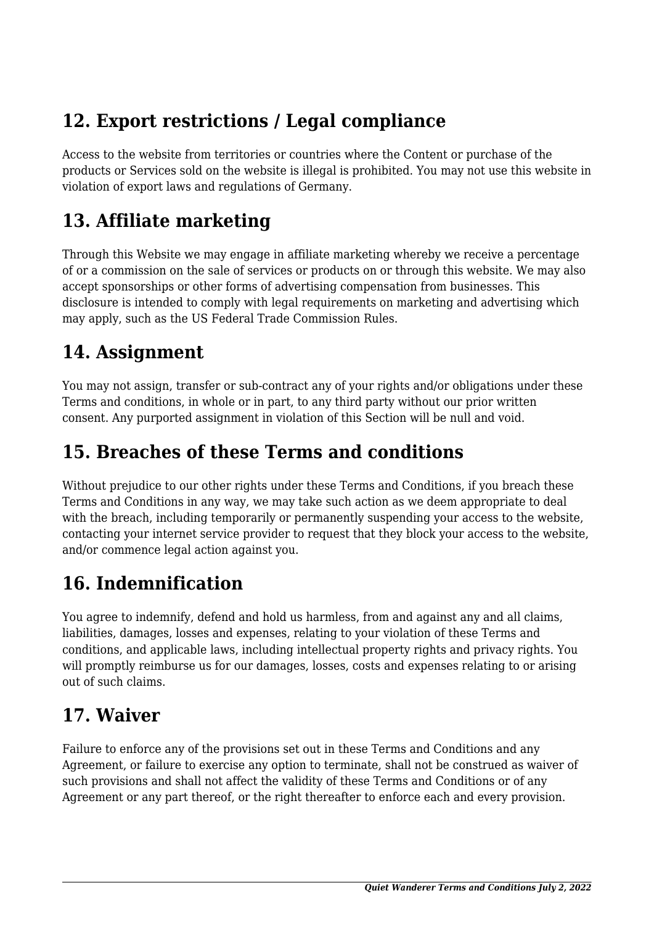# **12. Export restrictions / Legal compliance**

Access to the website from territories or countries where the Content or purchase of the products or Services sold on the website is illegal is prohibited. You may not use this website in violation of export laws and regulations of Germany.

### **13. Affiliate marketing**

Through this Website we may engage in affiliate marketing whereby we receive a percentage of or a commission on the sale of services or products on or through this website. We may also accept sponsorships or other forms of advertising compensation from businesses. This disclosure is intended to comply with legal requirements on marketing and advertising which may apply, such as the US Federal Trade Commission Rules.

#### **14. Assignment**

You may not assign, transfer or sub-contract any of your rights and/or obligations under these Terms and conditions, in whole or in part, to any third party without our prior written consent. Any purported assignment in violation of this Section will be null and void.

#### **15. Breaches of these Terms and conditions**

Without prejudice to our other rights under these Terms and Conditions, if you breach these Terms and Conditions in any way, we may take such action as we deem appropriate to deal with the breach, including temporarily or permanently suspending your access to the website, contacting your internet service provider to request that they block your access to the website, and/or commence legal action against you.

# **16. Indemnification**

You agree to indemnify, defend and hold us harmless, from and against any and all claims, liabilities, damages, losses and expenses, relating to your violation of these Terms and conditions, and applicable laws, including intellectual property rights and privacy rights. You will promptly reimburse us for our damages, losses, costs and expenses relating to or arising out of such claims.

#### **17. Waiver**

Failure to enforce any of the provisions set out in these Terms and Conditions and any Agreement, or failure to exercise any option to terminate, shall not be construed as waiver of such provisions and shall not affect the validity of these Terms and Conditions or of any Agreement or any part thereof, or the right thereafter to enforce each and every provision.